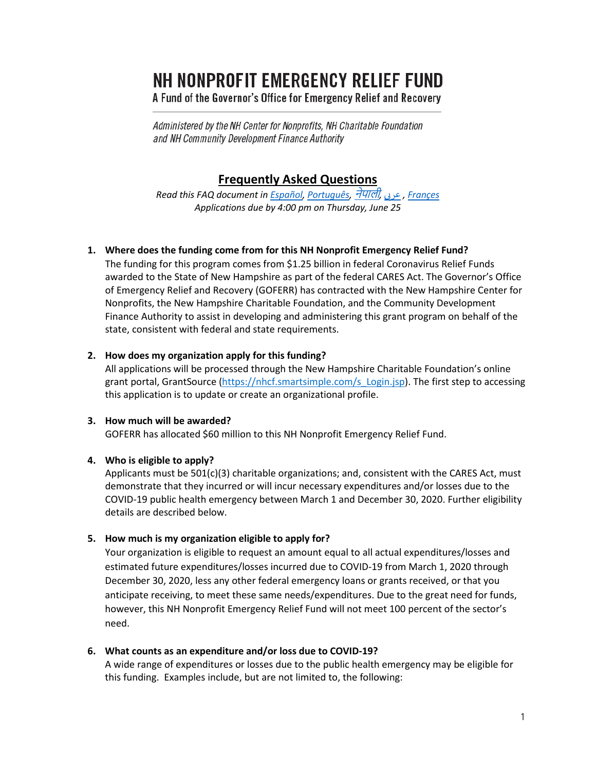# NH NONPROFIT EMERGENCY RELIEF FUND

A Fund of the Governor's Office for Emergency Relief and Recovery

Administered by the NH Center for Nonprofits, NH Charitable Foundation and NH Community Development Finance Authority

# **Frequently Asked Questions**

*Read this FAQ document i[n Español,](https://www.nhcf.org/wp-content/uploads/2020/06/NERF-FAQs-Spanish.pdf) [Português,](https://www.nhcf.org/wp-content/uploads/2020/06/NERF-FAQs-Portuguese.pdf)* [नेपाली](https://www.nhcf.org/wp-content/uploads/2020/06/EN-NE-NERF-FAQs-Nepali.pdf)*,* [بعرى](https://www.nhcf.org/wp-content/uploads/2020/06/NERF-FAQs-Arabic.pdf) *, [Françes](https://www.nhcf.org/wp-content/uploads/2020/06/NERF-FAQs-French.pdf) Applications due by 4:00 pm on Thursday, June 25*

# **1. Where does the funding come from for this NH Nonprofit Emergency Relief Fund?**

The funding for this program comes from \$1.25 billion in federal Coronavirus Relief Funds awarded to the State of New Hampshire as part of the federal CARES Act. The Governor's Office of Emergency Relief and Recovery (GOFERR) has contracted with the New Hampshire Center for Nonprofits, the New Hampshire Charitable Foundation, and the Community Development Finance Authority to assist in developing and administering this grant program on behalf of the state, consistent with federal and state requirements.

# **2. How does my organization apply for this funding?**

All applications will be processed through the New Hampshire Charitable Foundation's online grant portal, GrantSource [\(https://nhcf.smartsimple.com/s\\_Login.jsp\)](https://nhcf.smartsimple.com/s_Login.jsp). The first step to accessing this application is to update or create an organizational profile.

# **3. How much will be awarded?**

GOFERR has allocated \$60 million to this NH Nonprofit Emergency Relief Fund.

# **4. Who is eligible to apply?**

Applicants must be 501(c)(3) charitable organizations; and, consistent with the CARES Act, must demonstrate that they incurred or will incur necessary expenditures and/or losses due to the COVID-19 public health emergency between March 1 and December 30, 2020. Further eligibility details are described below.

# **5. How much is my organization eligible to apply for?**

Your organization is eligible to request an amount equal to all actual expenditures/losses and estimated future expenditures/losses incurred due to COVID-19 from March 1, 2020 through December 30, 2020, less any other federal emergency loans or grants received, or that you anticipate receiving, to meet these same needs/expenditures. Due to the great need for funds, however, this NH Nonprofit Emergency Relief Fund will not meet 100 percent of the sector's need.

### **6. What counts as an expenditure and/or loss due to COVID-19?**

A wide range of expenditures or losses due to the public health emergency may be eligible for this funding. Examples include, but are not limited to, the following: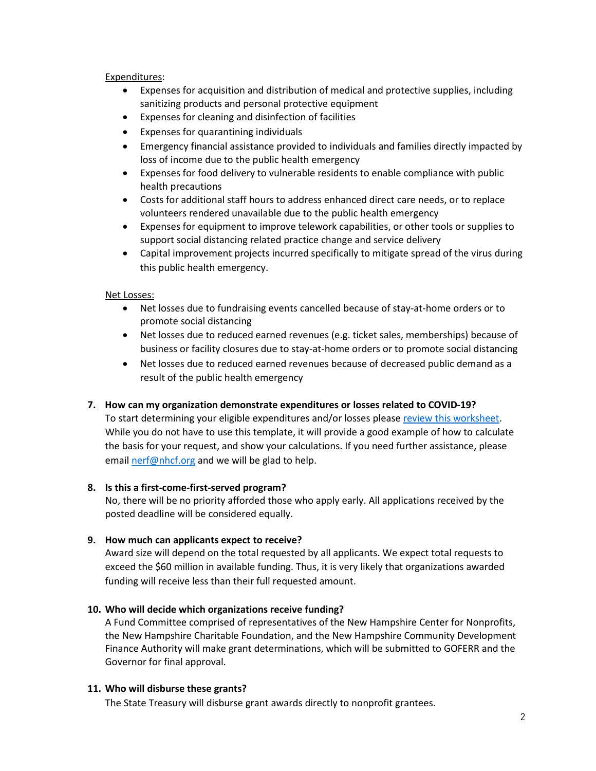#### Expenditures:

- Expenses for acquisition and distribution of medical and protective supplies, including sanitizing products and personal protective equipment
- Expenses for cleaning and disinfection of facilities
- Expenses for quarantining individuals
- Emergency financial assistance provided to individuals and families directly impacted by loss of income due to the public health emergency
- Expenses for food delivery to vulnerable residents to enable compliance with public health precautions
- Costs for additional staff hours to address enhanced direct care needs, or to replace volunteers rendered unavailable due to the public health emergency
- Expenses for equipment to improve telework capabilities, or other tools or supplies to support social distancing related practice change and service delivery
- Capital improvement projects incurred specifically to mitigate spread of the virus during this public health emergency.

### Net Losses:

- Net losses due to fundraising events cancelled because of stay-at-home orders or to promote social distancing
- Net losses due to reduced earned revenues (e.g. ticket sales, memberships) because of business or facility closures due to stay-at-home orders or to promote social distancing
- Net losses due to reduced earned revenues because of decreased public demand as a result of the public health emergency

### **7. How can my organization demonstrate expenditures or losses related to COVID-19?**

To start determining your eligible expenditures and/or losses please [review this worksheet.](https://www.nhcf.org/wp-content/uploads/2020/06/Financial-Worksheet.xlsx) While you do not have to use this template, it will provide a good example of how to calculate the basis for your request, and show your calculations. If you need further assistance, please email [nerf@nhcf.org](mailto:nerf@nhcf.org) and we will be glad to help.

### **8. Is this a first-come-first-served program?**

No, there will be no priority afforded those who apply early. All applications received by the posted deadline will be considered equally.

### **9. How much can applicants expect to receive?**

Award size will depend on the total requested by all applicants. We expect total requests to exceed the \$60 million in available funding. Thus, it is very likely that organizations awarded funding will receive less than their full requested amount.

### **10. Who will decide which organizations receive funding?**

A Fund Committee comprised of representatives of the New Hampshire Center for Nonprofits, the New Hampshire Charitable Foundation, and the New Hampshire Community Development Finance Authority will make grant determinations, which will be submitted to GOFERR and the Governor for final approval.

### **11. Who will disburse these grants?**

The State Treasury will disburse grant awards directly to nonprofit grantees.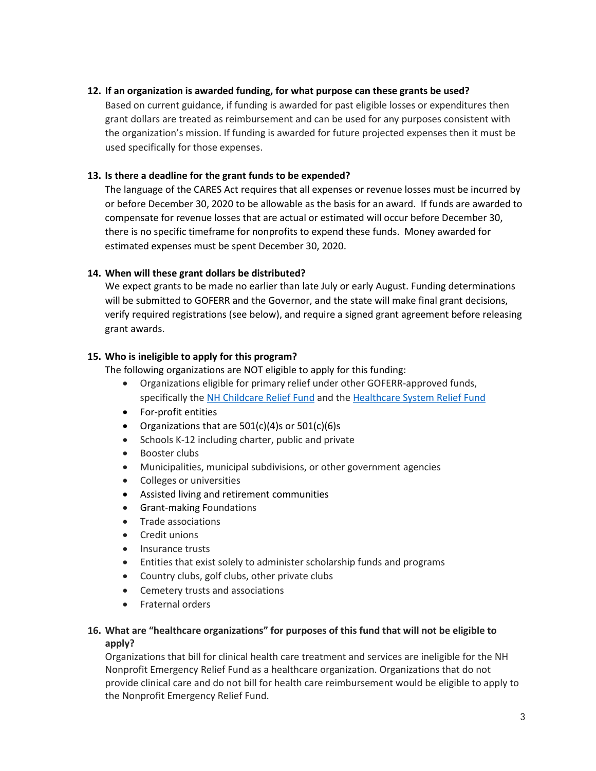# **12. If an organization is awarded funding, for what purpose can these grants be used?**

Based on current guidance, if funding is awarded for past eligible losses or expenditures then grant dollars are treated as reimbursement and can be used for any purposes consistent with the organization's mission. If funding is awarded for future projected expenses then it must be used specifically for those expenses.

# **13. Is there a deadline for the grant funds to be expended?**

The language of the CARES Act requires that all expenses or revenue losses must be incurred by or before December 30, 2020 to be allowable as the basis for an award. If funds are awarded to compensate for revenue losses that are actual or estimated will occur before December 30, there is no specific timeframe for nonprofits to expend these funds. Money awarded for estimated expenses must be spent December 30, 2020.

# **14. When will these grant dollars be distributed?**

We expect grants to be made no earlier than late July or early August. Funding determinations will be submitted to GOFERR and the Governor, and the state will make final grant decisions, verify required registrations (see below), and require a signed grant agreement before releasing grant awards.

# **15. Who is ineligible to apply for this program?**

The following organizations are NOT eligible to apply for this funding:

- Organizations eligible for primary relief under other GOFERR-approved funds, specifically th[e NH Childcare Relief Fund](https://www.goferr.nh.gov/covid-expenditures/nh-childcare-relief) and the [Healthcare System Relief Fund](https://www.goferr.nh.gov/covid-expenditures/healthcare-system-relief-fund)
- For-profit entities
- Organizations that are  $501(c)(4)$ s or  $501(c)(6)$ s
- Schools K-12 including charter, public and private
- Booster clubs
- Municipalities, municipal subdivisions, or other government agencies
- Colleges or universities
- Assisted living and retirement communities
- Grant-making Foundations
- Trade associations
- Credit unions
- Insurance trusts
- Entities that exist solely to administer scholarship funds and programs
- Country clubs, golf clubs, other private clubs
- Cemetery trusts and associations
- Fraternal orders

# **16. What are "healthcare organizations" for purposes of this fund that will not be eligible to apply?**

Organizations that bill for clinical health care treatment and services are ineligible for the NH Nonprofit Emergency Relief Fund as a healthcare organization. Organizations that do not provide clinical care and do not bill for health care reimbursement would be eligible to apply to the Nonprofit Emergency Relief Fund.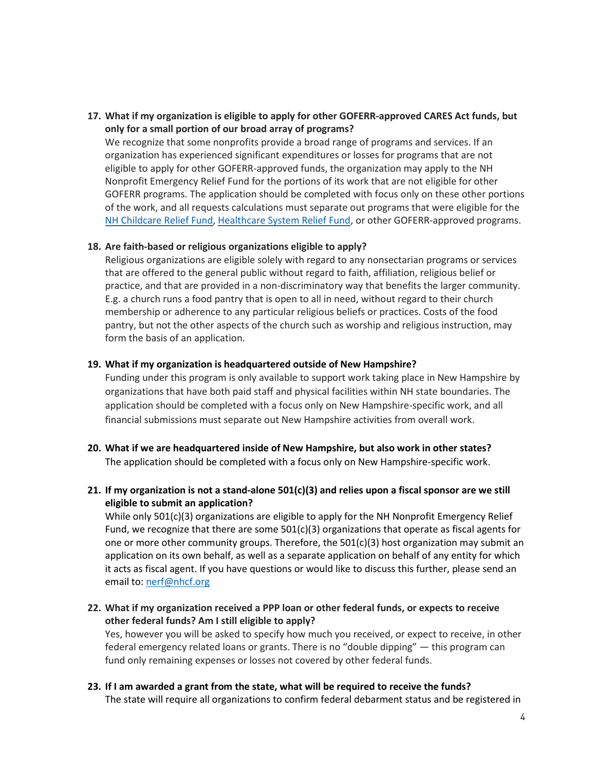# **17. What if my organization is eligible to apply for other GOFERR-approved CARES Act funds, but only for a small portion of our broad array of programs?**

We recognize that some nonprofits provide a broad range of programs and services. If an organization has experienced significant expenditures or losses for programs that are not eligible to apply for other GOFERR-approved funds, the organization may apply to the NH Nonprofit Emergency Relief Fund for the portions of its work that are not eligible for other GOFERR programs. The application should be completed with focus only on these other portions of the work, and all requests calculations must separate out programs that were eligible for the [NH Childcare Relief Fund,](https://www.goferr.nh.gov/covid-expenditures/nh-childcare-relief) [Healthcare System Relief Fund,](https://www.goferr.nh.gov/covid-expenditures/healthcare-system-relief-fund) or other GOFERR-approved programs.

#### **18. Are faith-based or religious organizations eligible to apply?**

Religious organizations are eligible solely with regard to any nonsectarian programs or services that are offered to the general public without regard to faith, affiliation, religious belief or practice, and that are provided in a non-discriminatory way that benefits the larger community. E.g. a church runs a food pantry that is open to all in need, without regard to their church membership or adherence to any particular religious beliefs or practices. Costs of the food pantry, but not the other aspects of the church such as worship and religious instruction, may form the basis of an application.

#### **19. What if my organization is headquartered outside of New Hampshire?**

Funding under this program is only available to support work taking place in New Hampshire by organizations that have both paid staff and physical facilities within NH state boundaries. The application should be completed with a focus only on New Hampshire-specific work, and all financial submissions must separate out New Hampshire activities from overall work.

- **20. What if we are headquartered inside of New Hampshire, but also work in other states?** The application should be completed with a focus only on New Hampshire-specific work.
- **21. If my organization is not a stand-alone 501(c)(3) and relies upon a fiscal sponsor are we still eligible to submit an application?**

While only 501(c)(3) organizations are eligible to apply for the NH Nonprofit Emergency Relief Fund, we recognize that there are some  $501(c)(3)$  organizations that operate as fiscal agents for one or more other community groups. Therefore, the  $501(c)(3)$  host organization may submit an application on its own behalf, as well as a separate application on behalf of any entity for which it acts as fiscal agent. If you have questions or would like to discuss this further, please send an email to: [nerf@nhcf.org](mailto:nerf@nhcf.org)

**22. What if my organization received a PPP loan or other federal funds, or expects to receive other federal funds? Am I still eligible to apply?** 

Yes, however you will be asked to specify how much you received, or expect to receive, in other federal emergency related loans or grants. There is no "double dipping" — this program can fund only remaining expenses or losses not covered by other federal funds.

**23. If I am awarded a grant from the state, what will be required to receive the funds?** 

The state will require all organizations to confirm federal debarment status and be registered in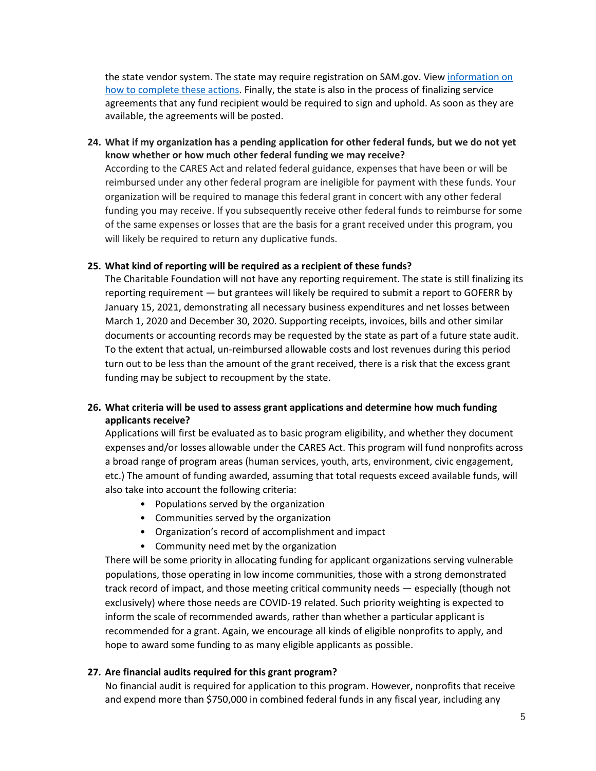the state vendor system. The state may require registration on SAM.gov. View [information on](https://www.nhcf.org/wp-content/uploads/2020/06/Instructions-for-Debarment_DUNS_SAM.gov_State-Vendor-No_6-18-20.pdf)  [how to complete these actions.](https://www.nhcf.org/wp-content/uploads/2020/06/Instructions-for-Debarment_DUNS_SAM.gov_State-Vendor-No_6-18-20.pdf) Finally, the state is also in the process of finalizing service agreements that any fund recipient would be required to sign and uphold. As soon as they are available, the agreements will be posted.

# **24. What if my organization has a pending application for other federal funds, but we do not yet know whether or how much other federal funding we may receive?**

According to the CARES Act and related federal guidance, expenses that have been or will be reimbursed under any other federal program are ineligible for payment with these funds. Your organization will be required to manage this federal grant in concert with any other federal funding you may receive. If you subsequently receive other federal funds to reimburse for some of the same expenses or losses that are the basis for a grant received under this program, you will likely be required to return any duplicative funds.

#### **25. What kind of reporting will be required as a recipient of these funds?**

The Charitable Foundation will not have any reporting requirement. The state is still finalizing its reporting requirement — but grantees will likely be required to submit a report to GOFERR by January 15, 2021, demonstrating all necessary business expenditures and net losses between March 1, 2020 and December 30, 2020. Supporting receipts, invoices, bills and other similar documents or accounting records may be requested by the state as part of a future state audit. To the extent that actual, un-reimbursed allowable costs and lost revenues during this period turn out to be less than the amount of the grant received, there is a risk that the excess grant funding may be subject to recoupment by the state.

# **26. What criteria will be used to assess grant applications and determine how much funding applicants receive?**

Applications will first be evaluated as to basic program eligibility, and whether they document expenses and/or losses allowable under the CARES Act. This program will fund nonprofits across a broad range of program areas (human services, youth, arts, environment, civic engagement, etc.) The amount of funding awarded, assuming that total requests exceed available funds, will also take into account the following criteria:

- Populations served by the organization
- Communities served by the organization
- Organization's record of accomplishment and impact
- Community need met by the organization

There will be some priority in allocating funding for applicant organizations serving vulnerable populations, those operating in low income communities, those with a strong demonstrated track record of impact, and those meeting critical community needs — especially (though not exclusively) where those needs are COVID-19 related. Such priority weighting is expected to inform the scale of recommended awards, rather than whether a particular applicant is recommended for a grant. Again, we encourage all kinds of eligible nonprofits to apply, and hope to award some funding to as many eligible applicants as possible.

### **27. Are financial audits required for this grant program?**

No financial audit is required for application to this program. However, nonprofits that receive and expend more than \$750,000 in combined federal funds in any fiscal year, including any